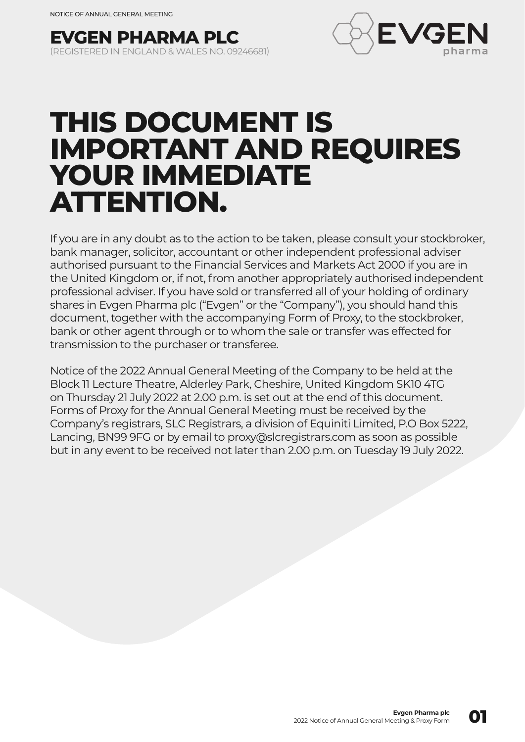



# **THIS DOCUMENT IS IMPORTANT AND REQUIRES YOUR IMMEDIATE ATTENTION.**

If you are in any doubt as to the action to be taken, please consult your stockbroker, bank manager, solicitor, accountant or other independent professional adviser authorised pursuant to the Financial Services and Markets Act 2000 if you are in the United Kingdom or, if not, from another appropriately authorised independent professional adviser. If you have sold or transferred all of your holding of ordinary shares in Evgen Pharma plc ("Evgen" or the "Company"), you should hand this document, together with the accompanying Form of Proxy, to the stockbroker, bank or other agent through or to whom the sale or transfer was effected for transmission to the purchaser or transferee.

Notice of the 2022 Annual General Meeting of the Company to be held at the Block 11 Lecture Theatre, Alderley Park, Cheshire, United Kingdom SK10 4TG on Thursday 21 July 2022 at 2.00 p.m. is set out at the end of this document. Forms of Proxy for the Annual General Meeting must be received by the Company's registrars, SLC Registrars, a division of Equiniti Limited, P.O Box 5222, Lancing, BN99 9FG or by email to proxy@slcregistrars.com as soon as possible but in any event to be received not later than 2.00 p.m. on Tuesday 19 July 2022.

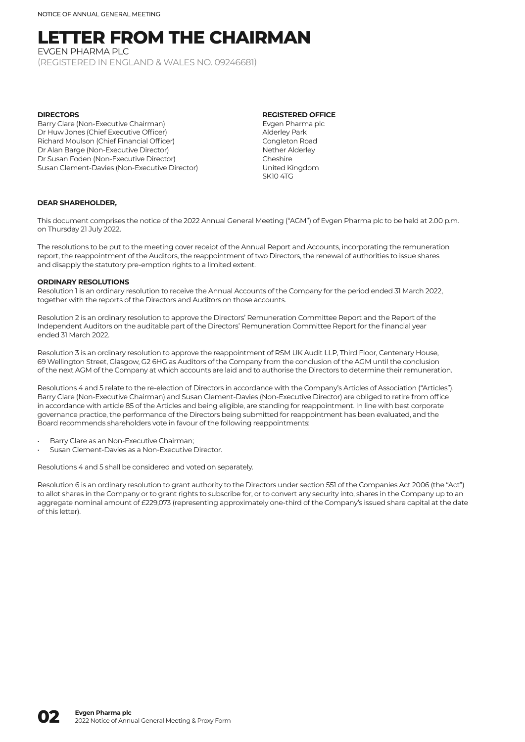# **LETTER FROM THE CHAIRMAN**

EVGEN PHARMA PLC (REGISTERED IN ENGLAND & WALES NO. 09246681)

#### **DIDECTORS**

Barry Clare (Non-Executive Chairman) Dr Huw Jones (Chief Executive Officer) Richard Moulson (Chief Financial Officer) Dr Alan Barge (Non-Executive Director) Dr Susan Foden (Non-Executive Director) Susan Clement-Davies (Non-Executive Director)

#### **REGISTERED OFFICE**

Evgen Pharma plc Alderley Park Congleton Road Nether Alderley Cheshire United Kingdom SK10 4TG

#### **DEAR SHAREHOLDER,**

This document comprises the notice of the 2022 Annual General Meeting ("AGM") of Evgen Pharma plc to be held at 2.00 p.m. on Thursday 21 July 2022.

The resolutions to be put to the meeting cover receipt of the Annual Report and Accounts, incorporating the remuneration report, the reappointment of the Auditors, the reappointment of two Directors, the renewal of authorities to issue shares and disapply the statutory pre-emption rights to a limited extent.

#### **ORDINARY RESOLUTIONS**

Resolution 1 is an ordinary resolution to receive the Annual Accounts of the Company for the period ended 31 March 2022, together with the reports of the Directors and Auditors on those accounts.

Resolution 2 is an ordinary resolution to approve the Directors' Remuneration Committee Report and the Report of the Independent Auditors on the auditable part of the Directors' Remuneration Committee Report for the financial year ended 31 March 2022.

Resolution 3 is an ordinary resolution to approve the reappointment of RSM UK Audit LLP, Third Floor, Centenary House, 69 Wellington Street, Glasgow, G2 6HG as Auditors of the Company from the conclusion of the AGM until the conclusion of the next AGM of the Company at which accounts are laid and to authorise the Directors to determine their remuneration.

Resolutions 4 and 5 relate to the re-election of Directors in accordance with the Company's Articles of Association ("Articles"). Barry Clare (Non-Executive Chairman) and Susan Clement-Davies (Non-Executive Director) are obliged to retire from office in accordance with article 85 of the Articles and being eligible, are standing for reappointment. In line with best corporate governance practice, the performance of the Directors being submitted for reappointment has been evaluated, and the Board recommends shareholders vote in favour of the following reappointments:

- Barry Clare as an Non-Executive Chairman:
- Susan Clement-Davies as a Non-Executive Director.

Resolutions 4 and 5 shall be considered and voted on separately.

Resolution 6 is an ordinary resolution to grant authority to the Directors under section 551 of the Companies Act 2006 (the "Act") to allot shares in the Company or to grant rights to subscribe for, or to convert any security into, shares in the Company up to an aggregate nominal amount of £229,073 (representing approximately one-third of the Company's issued share capital at the date of this letter).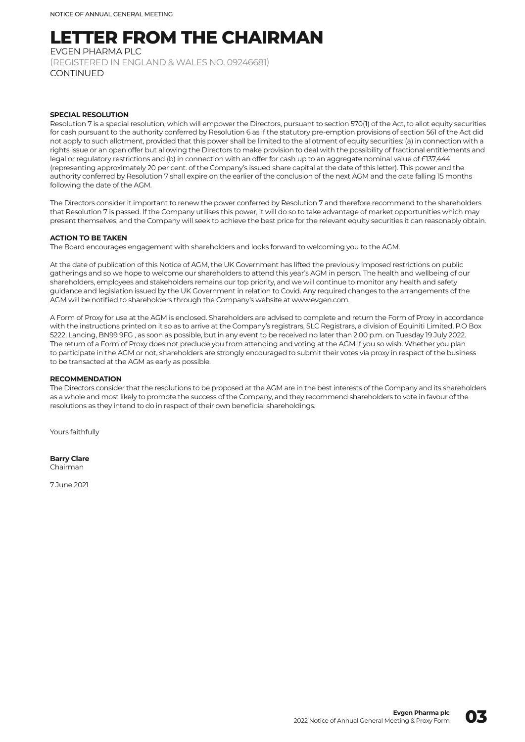## **LETTER FROM THE CHAIRMAN**

EVGEN PHARMA PLC

(REGISTERED IN ENGLAND & WALES NO. 09246681) CONTINUED

#### **SPECIAL PESOLUTION**

Resolution 7 is a special resolution, which will empower the Directors, pursuant to section 570(1) of the Act, to allot equity securities for cash pursuant to the authority conferred by Resolution 6 as if the statutory pre-emption provisions of section 561 of the Act did not apply to such allotment, provided that this power shall be limited to the allotment of equity securities: (a) in connection with a rights issue or an open offer but allowing the Directors to make provision to deal with the possibility of fractional entitlements and legal or regulatory restrictions and (b) in connection with an offer for cash up to an aggregate nominal value of £137,444 (representing approximately 20 per cent. of the Company's issued share capital at the date of this letter). This power and the authority conferred by Resolution 7 shall expire on the earlier of the conclusion of the next AGM and the date falling 15 months following the date of the AGM.

The Directors consider it important to renew the power conferred by Resolution 7 and therefore recommend to the shareholders that Resolution 7 is passed. If the Company utilises this power, it will do so to take advantage of market opportunities which may present themselves, and the Company will seek to achieve the best price for the relevant equity securities it can reasonably obtain.

#### **ACTION TO BE TAKEN**

The Board encourages engagement with shareholders and looks forward to welcoming you to the AGM.

At the date of publication of this Notice of AGM, the UK Government has lifted the previously imposed restrictions on public gatherings and so we hope to welcome our shareholders to attend this year's AGM in person. The health and wellbeing of our shareholders, employees and stakeholders remains our top priority, and we will continue to monitor any health and safety guidance and legislation issued by the UK Government in relation to Covid. Any required changes to the arrangements of the AGM will be notified to shareholders through the Company's website at www.evgen.com.

A Form of Proxy for use at the AGM is enclosed. Shareholders are advised to complete and return the Form of Proxy in accordance with the instructions printed on it so as to arrive at the Company's registrars, SLC Registrars, a division of Equiniti Limited, P.O Box 5222, Lancing, BN99 9FG , as soon as possible, but in any event to be received no later than 2.00 p.m. on Tuesday 19 July 2022. The return of a Form of Proxy does not preclude you from attending and voting at the AGM if you so wish. Whether you plan to participate in the AGM or not, shareholders are strongly encouraged to submit their votes via proxy in respect of the business to be transacted at the AGM as early as possible.

#### **RECOMMENDATION**

The Directors consider that the resolutions to be proposed at the AGM are in the best interests of the Company and its shareholders as a whole and most likely to promote the success of the Company, and they recommend shareholders to vote in favour of the resolutions as they intend to do in respect of their own beneficial shareholdings.

Yours faithfully

**Barry Clare** Chairman

7 June 2021

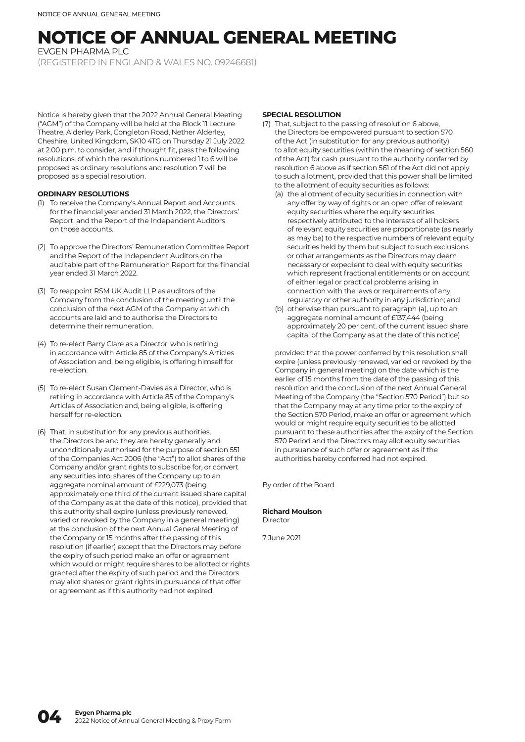# **NOTICE OF ANNUAL GENERAL MEETING**

EVGEN PHARMA PLC

(REGISTERED IN ENGLAND & WALES NO. 09246681)

Notice is hereby given that the 2022 Annual General Meeting ("AGM") of the Company will be held at the Block 11 Lecture Theatre, Alderley Park, Congleton Road, Nether Alderley, Cheshire, United Kingdom, SK10 4TG on Thursday 21 July 2022 at 2.00 p.m. to consider, and if thought fit, pass the following resolutions, of which the resolutions numbered 1 to 6 will be proposed as ordinary resolutions and resolution 7 will be proposed as a special resolution.

#### **ORDINARY RESOLUTIONS**

- (1) To receive the Company's Annual Report and Accounts for the financial year ended 31 March 2022, the Directors' Report, and the Report of the Independent Auditors on those accounts.
- (2) To approve the Directors' Remuneration Committee Report and the Report of the Independent Auditors on the auditable part of the Remuneration Report for the financial year ended 31 March 2022.
- (3) To reappoint RSM UK Audit LLP as auditors of the Company from the conclusion of the meeting until the conclusion of the next AGM of the Company at which accounts are laid and to authorise the Directors to determine their remuneration.
- (4) To re-elect Barry Clare as a Director, who is retiring in accordance with Article 85 of the Company's Articles of Association and, being eligible, is offering himself for re-election.
- (5) To re-elect Susan Clement-Davies as a Director, who is retiring in accordance with Article 85 of the Company's Articles of Association and, being eligible, is offering herself for re-election.
- (6) That, in substitution for any previous authorities, the Directors be and they are hereby generally and unconditionally authorised for the purpose of section 551 of the Companies Act 2006 (the "Act") to allot shares of the Company and/or grant rights to subscribe for, or convert any securities into, shares of the Company up to an aggregate nominal amount of £229,073 (being approximately one third of the current issued share capital of the Company as at the date of this notice), provided that this authority shall expire (unless previously renewed, varied or revoked by the Company in a general meeting) at the conclusion of the next Annual General Meeting of the Company or 15 months after the passing of this resolution (if earlier) except that the Directors may before the expiry of such period make an offer or agreement which would or might require shares to be allotted or rights granted after the expiry of such period and the Directors may allot shares or grant rights in pursuance of that offer or agreement as if this authority had not expired.

#### **SPECIAL PESOLUTION**

- (7) That, subject to the passing of resolution 6 above, the Directors be empowered pursuant to section 570 of the Act (in substitution for any previous authority) to allot equity securities (within the meaning of section 560 of the Act) for cash pursuant to the authority conferred by resolution 6 above as if section 561 of the Act did not apply to such allotment, provided that this power shall be limited to the allotment of equity securities as follows:
	- (a) the allotment of equity securities in connection with any offer by way of rights or an open offer of relevant equity securities where the equity securities respectively attributed to the interests of all holders of relevant equity securities are proportionate (as nearly as may be) to the respective numbers of relevant equity securities held by them but subject to such exclusions or other arrangements as the Directors may deem necessary or expedient to deal with equity securities which represent fractional entitlements or on account of either legal or practical problems arising in connection with the laws or requirements of any regulatory or other authority in any jurisdiction; and
	- (b) otherwise than pursuant to paragraph (a), up to an aggregate nominal amount of £137,444 (being approximately 20 per cent. of the current issued share capital of the Company as at the date of this notice)

 provided that the power conferred by this resolution shall expire (unless previously renewed, varied or revoked by the Company in general meeting) on the date which is the earlier of 15 months from the date of the passing of this resolution and the conclusion of the next Annual General Meeting of the Company (the "Section 570 Period") but so that the Company may at any time prior to the expiry of the Section 570 Period, make an offer or agreement which would or might require equity securities to be allotted pursuant to these authorities after the expiry of the Section 570 Period and the Directors may allot equity securities in pursuance of such offer or agreement as if the authorities hereby conferred had not expired.

By order of the Board

#### **Richard Moulson** Director

7 June 2021

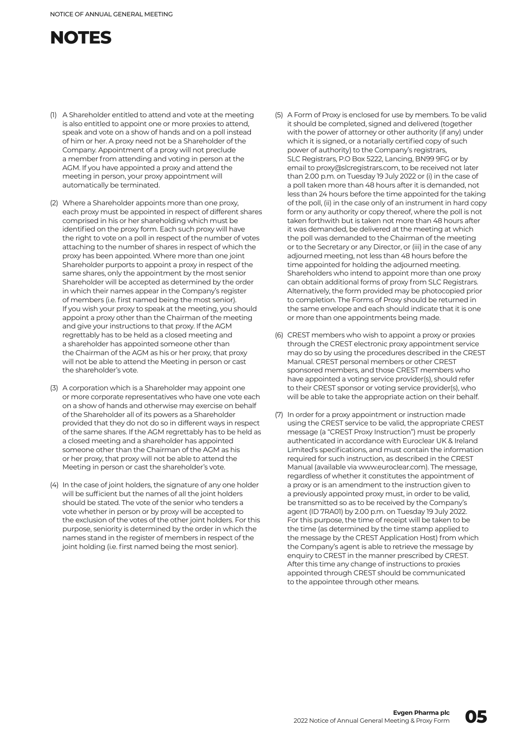### **NOTES**

- (1) A Shareholder entitled to attend and vote at the meeting is also entitled to appoint one or more proxies to attend, speak and vote on a show of hands and on a poll instead of him or her. A proxy need not be a Shareholder of the Company. Appointment of a proxy will not preclude a member from attending and voting in person at the AGM. If you have appointed a proxy and attend the meeting in person, your proxy appointment will automatically be terminated.
- (2) Where a Shareholder appoints more than one proxy, each proxy must be appointed in respect of different shares comprised in his or her shareholding which must be identified on the proxy form. Each such proxy will have the right to vote on a poll in respect of the number of votes attaching to the number of shares in respect of which the proxy has been appointed. Where more than one joint Shareholder purports to appoint a proxy in respect of the same shares, only the appointment by the most senior Shareholder will be accepted as determined by the order in which their names appear in the Company's register of members (i.e. first named being the most senior). If you wish your proxy to speak at the meeting, you should appoint a proxy other than the Chairman of the meeting and give your instructions to that proxy. If the AGM regrettably has to be held as a closed meeting and a shareholder has appointed someone other than the Chairman of the AGM as his or her proxy, that proxy will not be able to attend the Meeting in person or cast the shareholder's vote.
- (3) A corporation which is a Shareholder may appoint one or more corporate representatives who have one vote each on a show of hands and otherwise may exercise on behalf of the Shareholder all of its powers as a Shareholder provided that they do not do so in different ways in respect of the same shares. If the AGM regrettably has to be held as a closed meeting and a shareholder has appointed someone other than the Chairman of the AGM as his or her proxy, that proxy will not be able to attend the Meeting in person or cast the shareholder's vote.
- (4) In the case of joint holders, the signature of any one holder will be sufficient but the names of all the joint holders should be stated. The vote of the senior who tenders a vote whether in person or by proxy will be accepted to the exclusion of the votes of the other joint holders. For this purpose, seniority is determined by the order in which the names stand in the register of members in respect of the joint holding (i.e. first named being the most senior).
- (5) A Form of Proxy is enclosed for use by members. To be valid it should be completed, signed and delivered (together with the power of attorney or other authority (if any) under which it is signed, or a notarially certified copy of such power of authority) to the Company's registrars, SLC Registrars, P.O Box 5222, Lancing, BN99 9FG or by email to proxy@slcregistrars.com, to be received not later than 2.00 p.m. on Tuesday 19 July 2022 or (i) in the case of a poll taken more than 48 hours after it is demanded, not less than 24 hours before the time appointed for the taking of the poll, (ii) in the case only of an instrument in hard copy form or any authority or copy thereof, where the poll is not taken forthwith but is taken not more than 48 hours after it was demanded, be delivered at the meeting at which the poll was demanded to the Chairman of the meeting or to the Secretary or any Director, or (iii) in the case of any adjourned meeting, not less than 48 hours before the time appointed for holding the adjourned meeting. Shareholders who intend to appoint more than one proxy can obtain additional forms of proxy from SLC Registrars. Alternatively, the form provided may be photocopied prior to completion. The Forms of Proxy should be returned in the same envelope and each should indicate that it is one or more than one appointments being made.
- (6) CREST members who wish to appoint a proxy or proxies through the CREST electronic proxy appointment service may do so by using the procedures described in the CREST Manual. CREST personal members or other CREST sponsored members, and those CREST members who have appointed a voting service provider(s), should refer to their CREST sponsor or voting service provider(s), who will be able to take the appropriate action on their behalf.
- (7) In order for a proxy appointment or instruction made using the CREST service to be valid, the appropriate CREST message (a "CREST Proxy Instruction") must be properly authenticated in accordance with Euroclear UK & Ireland Limited's specifications, and must contain the information required for such instruction, as described in the CREST Manual (available via www.euroclear.com). The message, regardless of whether it constitutes the appointment of a proxy or is an amendment to the instruction given to a previously appointed proxy must, in order to be valid, be transmitted so as to be received by the Company's agent (ID 7RA01) by 2.00 p.m. on Tuesday 19 July 2022. For this purpose, the time of receipt will be taken to be the time (as determined by the time stamp applied to the message by the CREST Application Host) from which the Company's agent is able to retrieve the message by enquiry to CREST in the manner prescribed by CREST. After this time any change of instructions to proxies appointed through CREST should be communicated to the appointee through other means.

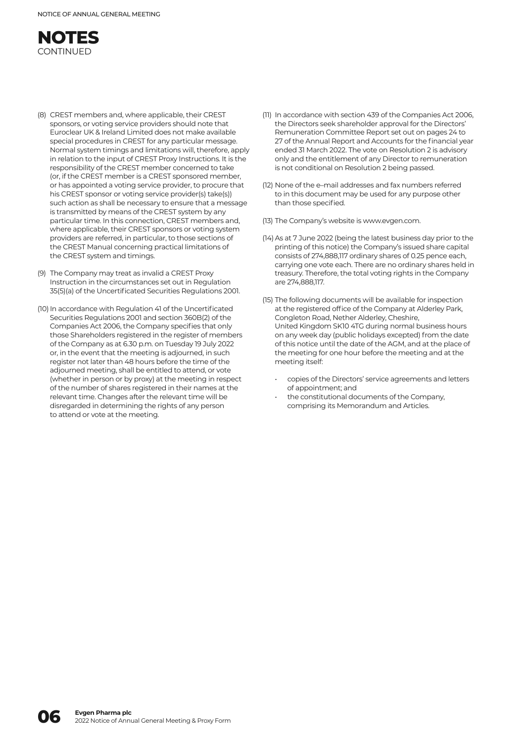

- (8) CREST members and, where applicable, their CREST sponsors, or voting service providers should note that Euroclear UK & Ireland Limited does not make available special procedures in CREST for any particular message. Normal system timings and limitations will, therefore, apply in relation to the input of CREST Proxy Instructions. It is the responsibility of the CREST member concerned to take (or, if the CREST member is a CREST sponsored member, or has appointed a voting service provider, to procure that his CREST sponsor or voting service provider(s) take(s)) such action as shall be necessary to ensure that a message is transmitted by means of the CREST system by any particular time. In this connection, CREST members and, where applicable, their CREST sponsors or voting system providers are referred, in particular, to those sections of the CREST Manual concerning practical limitations of the CREST system and timings.
- (9) The Company may treat as invalid a CREST Proxy Instruction in the circumstances set out in Regulation 35(5)(a) of the Uncertificated Securities Regulations 2001.
- (10) In accordance with Regulation 41 of the Uncertificated Securities Regulations 2001 and section 360B(2) of the Companies Act 2006, the Company specifies that only those Shareholders registered in the register of members of the Company as at 6.30 p.m. on Tuesday 19 July 2022 or, in the event that the meeting is adjourned, in such register not later than 48 hours before the time of the adjourned meeting, shall be entitled to attend, or vote (whether in person or by proxy) at the meeting in respect of the number of shares registered in their names at the relevant time. Changes after the relevant time will be disregarded in determining the rights of any person to attend or vote at the meeting.
- (11) In accordance with section 439 of the Companies Act 2006, the Directors seek shareholder approval for the Directors' Remuneration Committee Report set out on pages 24 to 27 of the Annual Report and Accounts for the financial year ended 31 March 2022. The vote on Resolution 2 is advisory only and the entitlement of any Director to remuneration is not conditional on Resolution 2 being passed.
- (12) None of the e–mail addresses and fax numbers referred to in this document may be used for any purpose other than those specified.
- (13) The Company's website is www.evgen.com.
- (14) As at 7 June 2022 (being the latest business day prior to the printing of this notice) the Company's issued share capital consists of 274,888,117 ordinary shares of 0.25 pence each, carrying one vote each. There are no ordinary shares held in treasury. Therefore, the total voting rights in the Company are 274,888,117.
- (15) The following documents will be available for inspection at the registered office of the Company at Alderley Park, Congleton Road, Nether Alderley, Cheshire, United Kingdom SK10 4TG during normal business hours on any week day (public holidays excepted) from the date of this notice until the date of the AGM, and at the place of the meeting for one hour before the meeting and at the meeting itself:
	- copies of the Directors' service agreements and letters of appointment; and
	- the constitutional documents of the Company, comprising its Memorandum and Articles.